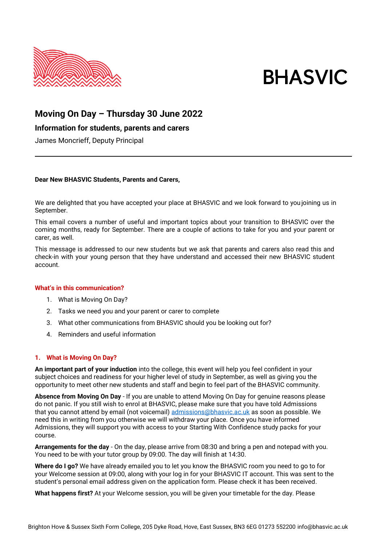

# **BHASVIC**

## **Moving On Day – Thursday 30 June 2022**

### **Information for students, parents and carers**

James Moncrieff, Deputy Principal

#### **Dear New BHASVIC Students, Parents and Carers,**

We are delighted that you have accepted your place at BHASVIC and we look forward to youjoining us in September.

This email covers a number of useful and important topics about your transition to BHASVIC over the coming months, ready for September. There are a couple of actions to take for you and your parent or carer, as well.

This message is addressed to our new students but we ask that parents and carers also read this and check-in with your young person that they have understand and accessed their new BHASVIC student account.

#### **What's in this communication?**

- 1. What is Moving On Day?
- 2. Tasks we need you and your parent or carer to complete
- 3. What other communications from BHASVIC should you be looking out for?
- 4. Reminders and useful information

#### **1. What is Moving On Day?**

**An important part of your induction** into the college, this event will help you feel confident in your subject choices and readiness for your higher level of study in September, as well as giving you the opportunity to meet other new students and staff and begin to feel part of the BHASVIC community.

**Absence from Moving On Day** - If you are unable to attend Moving On Day for genuine reasons please do not panic. If you still wish to enrol at BHASVIC, please make sure that you have told Admissions that you cannot attend by email (not voicemail) [admissions@bhasvic.ac.uk](mailto:admissions@bhasvic.ac.uk) as soon as possible. We need this in writing from you otherwise we will withdraw your place. Once you have informed Admissions, they will support you with access to your Starting With Confidence study packs for your course.

**Arrangements for the day** - On the day, please arrive from 08:30 and bring a pen and notepad with you. You need to be with your tutor group by 09:00. The day will finish at 14:30.

**Where do I go?** We have already emailed you to let you know the BHASVIC room you need to go to for your Welcome session at 09:00, along with your log in for your BHASVIC IT account. This was sent to the student's personal email address given on the application form. Please check it has been received.

**What happens first?** At your Welcome session, you will be given your timetable for the day. Please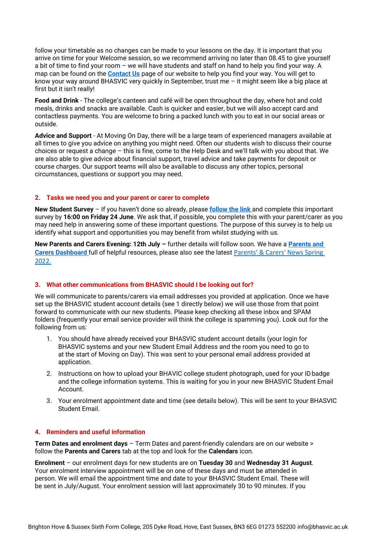follow your timetable as no changes can be made to your lessons on the day. It is important that you arrive on time for your Welcome session, so we recommend arriving no later than 08.45 to give yourself a bit of time to find your room – we will have students and staff on hand to help you find your way. A map can be found on the **[Contact Us](https://www.bhasvic.ac.uk/contact-us)** page of our website to help you find your way. You will get to know your way around BHASVIC very quickly in September, trust me – it might seem like a big place at first but it isn't really!

**Food and Drink** - The college's canteen and café will be open throughout the day, where hot and cold meals, drinks and snacks are available. Cash is quicker and easier, but we will also accept card and contactless payments. You are welcome to bring a packed lunch with you to eat in our social areas or outside.

**Advice and Support** - At Moving On Day, there will be a large team of experienced managers available at all times to give you advice on anything you might need. Often our students wish to discuss their course choices or request a change – this is fine, come to the Help Desk and we'll talk with you about that. We are also able to give advice about financial support, travel advice and take payments for deposit or course charges. Our support teams will also be available to discuss any other topics, personal circumstances, questions or support you may need.

#### **2. Tasks we need you and your parent or carer to complete**

**New Student Survey** – If you haven't done so already, please **[follow the link](https://www.smartsurvey.co.uk/s/SHYRXS/)** and complete this important survey by **16:00 on Friday 24 June**. We ask that, if possible, you complete this with your parent/carer as you may need help in answering some of these important questions. The purpose of this survey is to help us identify what support and opportunities you may benefit from whilst studying with us.

**New Parents and Carers Evening: 12th July –** further details will follow soon. We have a **[Parents and](https://www.bhasvic.ac.uk/parents-carers-dashboard)  [Carers Dashboard](https://www.bhasvic.ac.uk/parents-carers-dashboard)** full of helpful resources, please also see the latest [Parents' & Carers' News](https://www.bhasvic.ac.uk/news/parents-carers-news-spring-2022) Spring [2022.](https://www.bhasvic.ac.uk/news/parents-carers-news-spring-2022)

#### **3. What other communications from BHASVIC should I be looking out for?**

We will communicate to parents/carers via email addresses you provided at application. Once we have set up the BHASVIC student account details (see 1 directly below) we will use those from that point forward to communicate with our new students. Please keep checking all these inbox and SPAM folders (frequently your email service provider will think the college is spamming you). Look out for the following from us:

- 1. You should have already received your BHASVIC student account details (your login for BHASVIC systems and your new Student Email Address and the room you need to go to at the start of Moving on Day). This was sent to your personal email address provided at application.
- 2. Instructions on how to upload your BHAVIC college student photograph, used for your IDbadge and the college information systems. This is waiting for you in your new BHASVIC Student Email Account.
- 3. Your enrolment appointment date and time (see details below). This will be sent to your BHASVIC Student Email.

#### **4. Reminders and useful information**

**Term Dates and enrolment days** – Term Dates and parent-friendly calendars are on our website > follow the **Parents and Carers** tab at the top and look for the **Calendars** icon.

**Enrolment** – our enrolment days for new students are on **Tuesday 30** and **Wednesday 31 August**. Your enrolment interview appointment will be on one of these days and must be attended in person. We will email the appointment time and date to your BHASVIC Student Email. These will be sent in July/August. Your enrolment session will last approximately 30 to 90 minutes. If you